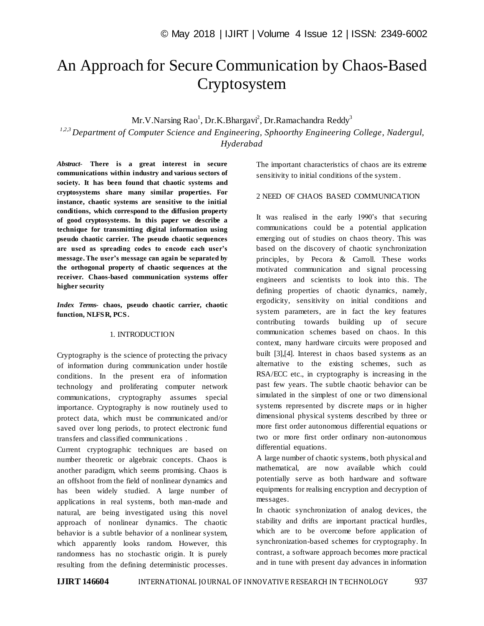# An Approach for Secure Communication by Chaos-Based Cryptosystem

Mr.V.Narsing Rao<sup>1</sup>, Dr.K.Bhargavi<sup>2</sup>, Dr.Ramachandra Reddy<sup>3</sup>

*1,2,3 Department of Computer Science and Engineering, Sphoorthy Engineering College, Nadergul, Hyderabad*

*Abstract*- **There is a great interest in secure communications within industry and various sectors of society. It has been found that chaotic systems and cryptosystems share many similar properties. For instance, chaotic systems are sensitive to the initial conditions, which correspond to the diffusion property of good cryptosystems. In this paper we describe a technique for transmitting digital information using pseudo chaotic carrier. The pseudo chaotic sequences are used as spreading codes to encode each user's message. The user's message can again be separated by the orthogonal property of chaotic sequences at the receiver. Chaos-based communication systems offer higher security**

*Index Terms***- chaos, pseudo chaotic carrier, chaotic function, NLFSR, PCS.**

## 1. INTRODUCTION

Cryptography is the science of protecting the privacy of information during communication under hostile conditions. In the present era of information technology and proliferating computer network communications, cryptography assumes special importance. Cryptography is now routinely used to protect data, which must be communicated and/or saved over long periods, to protect electronic fund transfers and classified communications .

Current cryptographic techniques are based on number theoretic or algebraic concepts. Chaos is another paradigm, which seems promising. Chaos is an offshoot from the field of nonlinear dynamics and has been widely studied. A large number of applications in real systems, both man-made and natural, are being investigated using this novel approach of nonlinear dynamics. The chaotic behavior is a subtle behavior of a nonlinear system, which apparently looks random. However, this randomness has no stochastic origin. It is purely resulting from the defining deterministic processes. The important characteristics of chaos are its extreme sensitivity to initial conditions of the system .

## 2 NEED OF CHAOS BASED COMMUNICATION

It was realised in the early 1990's that securing communications could be a potential application emerging out of studies on chaos theory. This was based on the discovery of chaotic synchronization principles, by Pecora & Carroll. These works motivated communication and signal processing engineers and scientists to look into this. The defining properties of chaotic dynamics, namely, ergodicity, sensitivity on initial conditions and system parameters, are in fact the key features contributing towards building up of secure communication schemes based on chaos. In this context, many hardware circuits were proposed and built [3],[4]. Interest in chaos based systems as an alternative to the existing schemes, such as RSA/ECC etc., in cryptography is increasing in the past few years. The subtle chaotic behavior can be simulated in the simplest of one or two dimensional systems represented by discrete maps or in higher dimensional physical systems described by three or more first order autonomous differential equations or two or more first order ordinary non-autonomous differential equations.

A large number of chaotic systems, both physical and mathematical, are now available which could potentially serve as both hardware and software equipments for realising encryption and decryption of messages.

In chaotic synchronization of analog devices, the stability and drifts are important practical hurdles, which are to be overcome before application of synchronization-based schemes for cryptography. In contrast, a software approach becomes more practical and in tune with present day advances in information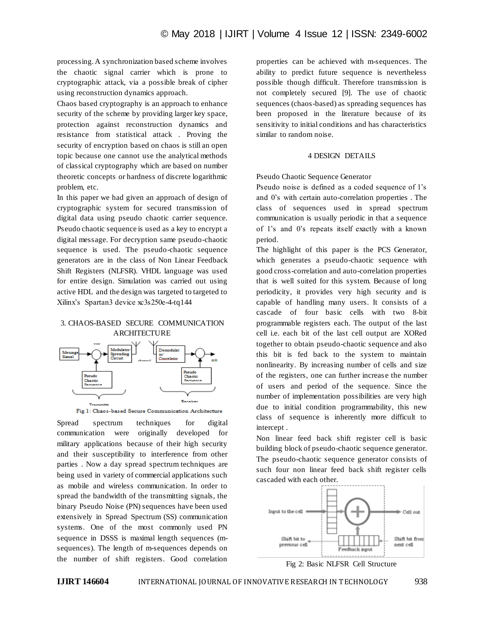processing. A synchronization based scheme involves the chaotic signal carrier which is prone to cryptographic attack, via a possible break of cipher using reconstruction dynamics approach.

Chaos based cryptography is an approach to enhance security of the scheme by providing larger key space, protection against reconstruction dynamics and resistance from statistical attack . Proving the security of encryption based on chaos is still an open topic because one cannot use the analytical methods of classical cryptography which are based on number theoretic concepts or hardness of discrete logarithmic problem, etc.

In this paper we had given an approach of design of cryptographic system for secured transmission of digital data using pseudo chaotic carrier sequence. Pseudo chaotic sequence is used as a key to encrypt a digital message. For decryption same pseudo-chaotic sequence is used. The pseudo-chaotic sequence generators are in the class of Non Linear Feedback Shift Registers (NLFSR). VHDL language was used for entire design. Simulation was carried out using active HDL and the design was targeted to targeted to Xilinx's Spartan3 device xc3s250e-4-tq144

## 3. CHAOS-BASED SECURE COMMUNICATION **ARCHITECTURE**



Fig 1: Chaos-based Secure Communication Architecture

Spread spectrum techniques for digital communication were originally developed for military applications because of their high security and their susceptibility to interference from other parties . Now a day spread spectrum techniques are being used in variety of commercial applications such as mobile and wireless communication. In order to spread the bandwidth of the transmitting signals, the binary Pseudo Noise (PN) sequences have been used extensively in Spread Spectrum (SS) communication systems. One of the most commonly used PN sequence in DSSS is maximal length sequences (msequences). The length of m-sequences depends on the number of shift registers. Good correlation

properties can be achieved with m-sequences. The ability to predict future sequence is nevertheless possible though difficult. Therefore transmission is not completely secured [9]. The use of chaotic sequences (chaos-based) as spreading sequences has been proposed in the literature because of its sensitivity to initial conditions and has characteristics similar to random noise.

#### 4 DESIGN DETAILS

#### Pseudo Chaotic Sequence Generator

Pseudo noise is defined as a coded sequence of 1's and 0's with certain auto-correlation properties . The class of sequences used in spread spectrum communication is usually periodic in that a sequence of 1's and 0's repeats itself exactly with a known period.

The highlight of this paper is the PCS Generator, which generates a pseudo-chaotic sequence with good cross-correlation and auto-correlation properties that is well suited for this system. Because of long periodicity, it provides very high security and is capable of handling many users. It consists of a cascade of four basic cells with two 8-bit programmable registers each. The output of the last cell i.e. each bit of the last cell output are XORed together to obtain pseudo-chaotic sequence and also this bit is fed back to the system to maintain nonlinearity. By increasing number of cells and size of the registers, one can further increas e the number of users and period of the sequence. Since the number of implementation possibilities are very high due to initial condition programmability, this new class of sequence is inherently more difficult to intercept .

Non linear feed back shift register cell is basic building block of pseudo-chaotic sequence generator. The pseudo-chaotic sequence generator consists of such four non linear feed back shift register cells cascaded with each other.



Fig 2: Basic NLFSR Cell Structure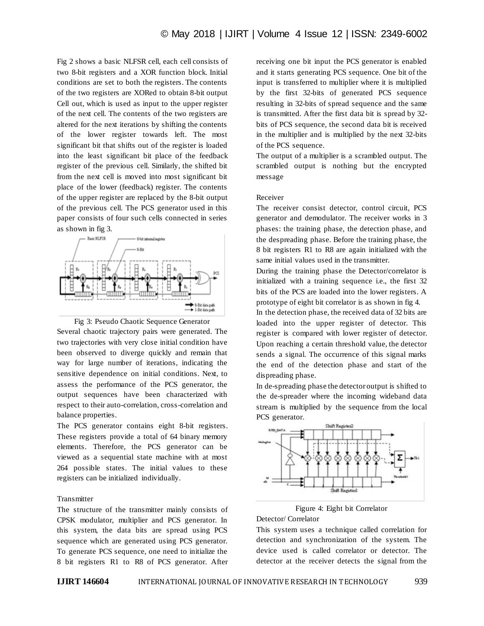Fig 2 shows a basic NLFSR cell, each cell consists of two 8-bit registers and a XOR function block. Initial conditions are set to both the registers. The contents of the two registers are XORed to obtain 8-bit output Cell out, which is used as input to the upper register of the next cell. The contents of the two registers are altered for the next iterations by shifting the contents of the lower register towards left. The most significant bit that shifts out of the register is loaded into the least significant bit place of the feedback register of the previous cell. Similarly, the shifted bit from the next cell is moved into most significant bit place of the lower (feedback) register. The contents of the upper register are replaced by the 8-bit output of the previous cell. The PCS generator used in this paper consists of four such cells connected in series as shown in fig 3.





The PCS generator contains eight 8-bit registers. These registers provide a total of 64 binary memory elements. Therefore, the PCS generator can be viewed as a sequential state machine with at most 264 possible states. The initial values to these registers can be initialized individually.

#### **Transmitter**

The structure of the transmitter mainly consists of CPSK modulator, multiplier and PCS generator. In this system, the data bits are spread using PCS sequence which are generated using PCS generator. To generate PCS sequence, one need to initialize the 8 bit registers R1 to R8 of PCS generator. After receiving one bit input the PCS generator is enabled and it starts generating PCS sequence. One bit of the input is transferred to multiplier where it is multiplied by the first 32-bits of generated PCS sequence resulting in 32-bits of spread sequence and the same is transmitted. After the first data bit is spread by 32 bits of PCS sequence, the second data bit is received in the multiplier and is multiplied by the next 32-bits of the PCS sequence.

The output of a multiplier is a scrambled output. The scrambled output is nothing but the encrypted message

#### Receiver

The receiver consist detector, control circuit, PCS generator and demodulator. The receiver works in 3 phases: the training phase, the detection phase, and the despreading phase. Before the training phase, the 8 bit registers R1 to R8 are again initialized with the same initial values used in the transmitter.

During the training phase the Detector/correlator is initialized with a training sequence i.e., the first 32 bits of the PCS are loaded into the lower registers. A prototype of eight bit correlator is as shown in fig 4.

In the detection phase, the received data of 32 bits are loaded into the upper register of detector. This register is compared with lower register of detector. Upon reaching a certain threshold value, the detector sends a signal. The occurrence of this signal marks the end of the detection phase and start of the dispreading phase.

In de-spreading phase the detector output is shifted to the de-spreader where the incoming wideband data stream is multiplied by the sequence from the local PCS generator.



Figure 4: Eight bit Correlator

#### Detector/ Correlator

This system uses a technique called correlation for detection and synchronization of the system. The device used is called correlator or detector. The detector at the receiver detects the signal from the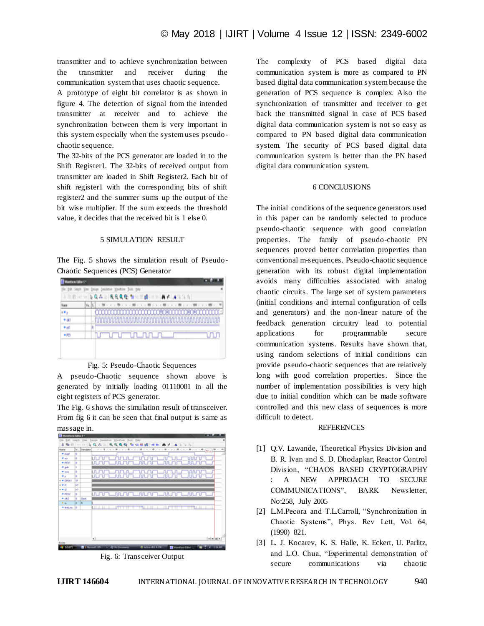transmitter and to achieve synchronization between the transmitter and receiver during the communication system that uses chaotic sequence.

A prototype of eight bit correlator is as shown in figure 4. The detection of signal from the intended transmitter at receiver and to achieve the synchronization between them is very important in this system especially when the system uses pseudochaotic sequence.

The 32-bits of the PCS generator are loaded in to the Shift Register1. The 32-bits of received output from transmitter are loaded in Shift Register2. Each bit of shift register1 with the corresponding bits of shift register2 and the summer sums up the output of the bit wise multiplier. If the sum exceeds the threshold value, it decides that the received bit is 1 else 0.

#### 5 SIMULATION RESULT

The Fig. 5 shows the simulation result of Pseudo-Chaotic Sequences (PCS) Generator

| for fat Seph year fields feeders modern from the<br>3 0 8 2 0 3 0 4 3 6 6 6 6 7 3 8 8 1 8 8 4 3 3 5 |                         |  |  |  |  |  |  |  |  |
|-----------------------------------------------------------------------------------------------------|-------------------------|--|--|--|--|--|--|--|--|
|                                                                                                     |                         |  |  |  |  |  |  |  |  |
| œ,                                                                                                  |                         |  |  |  |  |  |  |  |  |
| Fall                                                                                                |                         |  |  |  |  |  |  |  |  |
| k ud                                                                                                |                         |  |  |  |  |  |  |  |  |
| $-103$                                                                                              | <u>umummuni k</u><br>uл |  |  |  |  |  |  |  |  |
|                                                                                                     |                         |  |  |  |  |  |  |  |  |

#### Fig. 5: Pseudo-Chaotic Sequences

A pseudo-Chaotic sequence shown above is generated by initially loading 01110001 in all the eight registers of PCS generator.

The Fig. 6 shows the simulation result of transceiver. From fig 6 it can be seen that final output is same as massage in.

| * mail<br>٠         |       | Steadator 1 - 9 |                      |   |               |              |                  |   |
|---------------------|-------|-----------------|----------------------|---|---------------|--------------|------------------|---|
|                     |       |                 |                      |   |               |              |                  |   |
| $\blacksquare$<br>۰ |       | யப              | mm                   |   | யாபாப         | лr           | տոտ              |   |
| $=$ PCS1<br>۰       |       | ш               | mum                  |   | munu          | mumu         | <b>MUTU</b>      |   |
| <b>Mark</b><br>'n   |       |                 |                      |   |               |              |                  |   |
| ۰<br>$= 100$        |       | மா              | nn n                 |   | ורו. רוו      | Πſ           | տտոս             |   |
| м.<br>۰             |       | யபு             | <b>JULITU</b>        | ᇺ | <b>JULITU</b> | лл.          | <b>nn_m</b>      |   |
| $x = CP(x)$<br>w    |       |                 |                      |   |               |              |                  |   |
| $-0.001$<br>bar     |       |                 |                      |   |               |              |                  |   |
| w<br>$x = 0$        |       |                 |                      |   |               |              |                  |   |
| $+FC12$<br>is.      |       |                 | ທກກ∟ທກກ∟ທກກ∟ທກກ∟     |   |               |              | munun,           |   |
| in.<br>$-462$       | Cock. |                 |                      |   |               |              |                  |   |
| $+100$              |       |                 |                      |   |               |              |                  |   |
| * Ind.ou. 0         |       | .               | <b>INTERNATIONAL</b> |   | muu uu u      | - 1111<br>नग | <b>TTTTLE LE</b> | ┸ |

Fig. 6: Transceiver Output

The complexity of PCS based digital data communication system is more as compared to PN based digital data communication system because the generation of PCS sequence is complex. Also the synchronization of transmitter and receiver to get back the transmitted signal in case of PCS based digital data communication system is not so easy as compared to PN based digital data communication system. The security of PCS based digital data communication system is better than the PN based digital data communication system.

## 6 CONCLUSIONS

The initial conditions of the sequence generators used in this paper can be randomly selected to produce pseudo-chaotic sequence with good correlation properties. The family of pseudo-chaotic PN sequences proved better correlation properties than conventional m-sequences. Pseudo-chaotic sequence generation with its robust digital implementation avoids many difficulties associated with analog chaotic circuits. The large set of system parameters (initial conditions and internal configuration of cells and generators) and the non-linear nature of the feedback generation circuitry lead to potential applications for programmable secure communication systems. Results have shown that, using random selections of initial conditions can provide pseudo-chaotic sequences that are relatively long with good correlation properties. Since the number of implementation possibilities is very high due to initial condition which can be made software controlled and this new class of sequences is more difficult to detect.

#### REFERENCES

- [1] Q.V. Lawande, Theoretical Physics Division and B. R. Ivan and S. D. Dhodapkar, Reactor Control Division, "CHAOS BASED CRYPTOGRAPHY : A NEW APPROACH TO SECURE COMMUNICATIONS", BARK Newsletter, No:258, July 2005
- [2] L.M.Pecora and T.L.Carroll, "Synchronization in Chaotic Systems", Phys. Rev Lett, Vol. 64, (1990) 821.
- [3] L. J. Kocarev, K. S. Halle, K. Eckert, U. Parlitz, and L.O. Chua, "Experimental demonstration of secure communications via chaotic